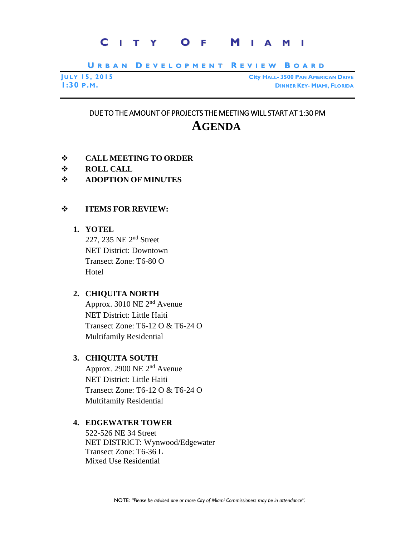# **C I T Y O F M I A M I**

URBAN DEVELOPMENT REVIEW BOARD

|          | <b>JULY 15, 2015</b> |  |
|----------|----------------------|--|
| 1:30P.M. |                      |  |

**J U L Y 15, 2015 City HALL- 3500 PAN AMERICAN DRIVE 1:30 P.M. DINNER KEY- MIAMI, FLORIDA**

## DUE TO THE AMOUNT OF PROJECTS THE MEETING WILL START AT 1:30 PM **AGENDA**

- **CALL MEETING TO ORDER**
- **ROLL CALL**
- **ADOPTION OF MINUTES**

#### **ITEMS FOR REVIEW:**

#### **1. YOTEL**

227, 235 NE 2nd Street NET District: Downtown Transect Zone: T6-80 O Hotel

#### **2. CHIQUITA NORTH**

Approx. 3010 NE 2nd Avenue NET District: Little Haiti Transect Zone: T6-12 O & T6-24 O Multifamily Residential

### **3. CHIQUITA SOUTH**

Approx. 2900 NE 2nd Avenue NET District: Little Haiti Transect Zone: T6-12 O & T6-24 O Multifamily Residential

#### **4. EDGEWATER TOWER**

522-526 NE 34 Street NET DISTRICT: Wynwood/Edgewater Transect Zone: T6-36 L Mixed Use Residential